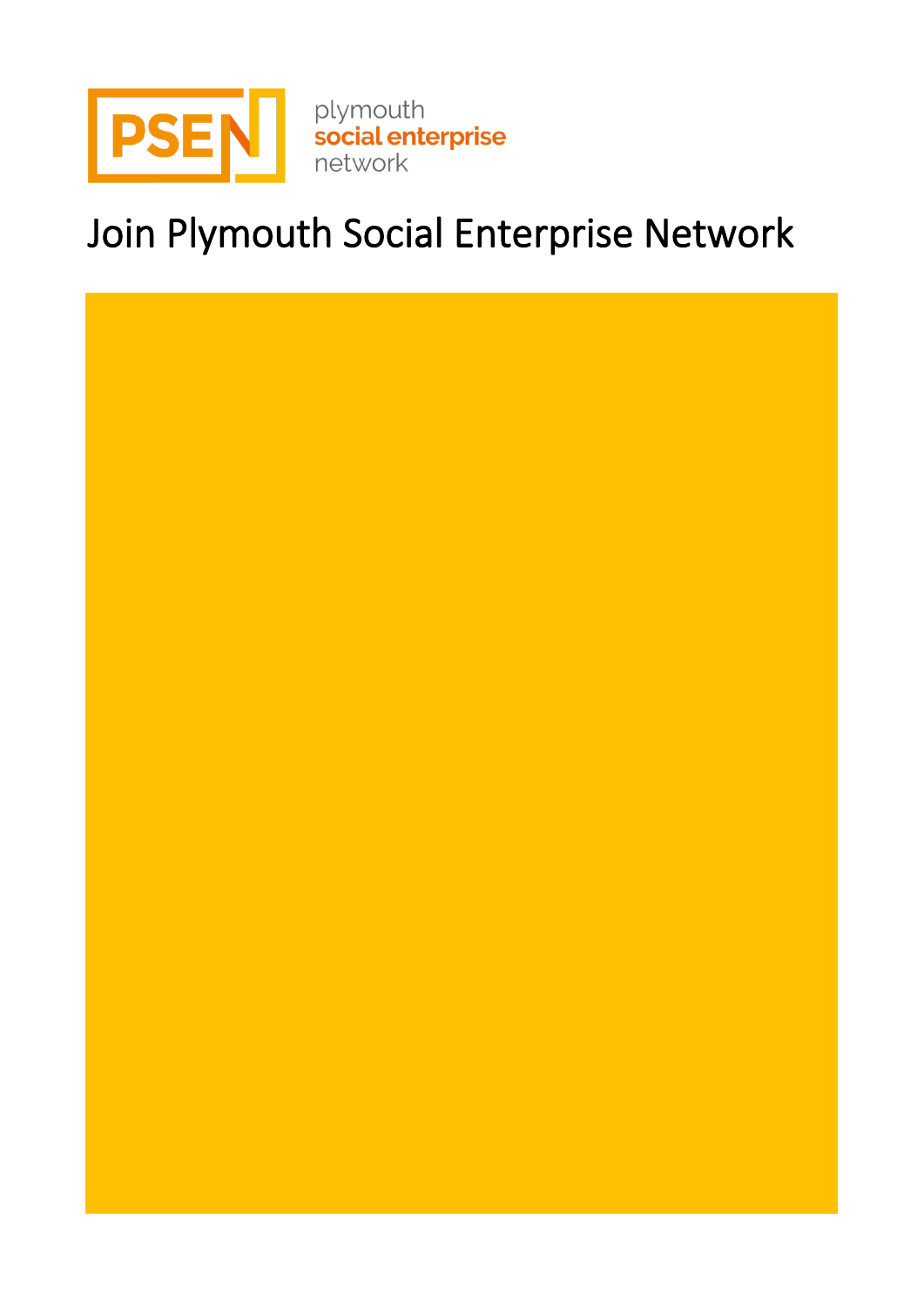

# Join Plymouth Social Enterprise Network

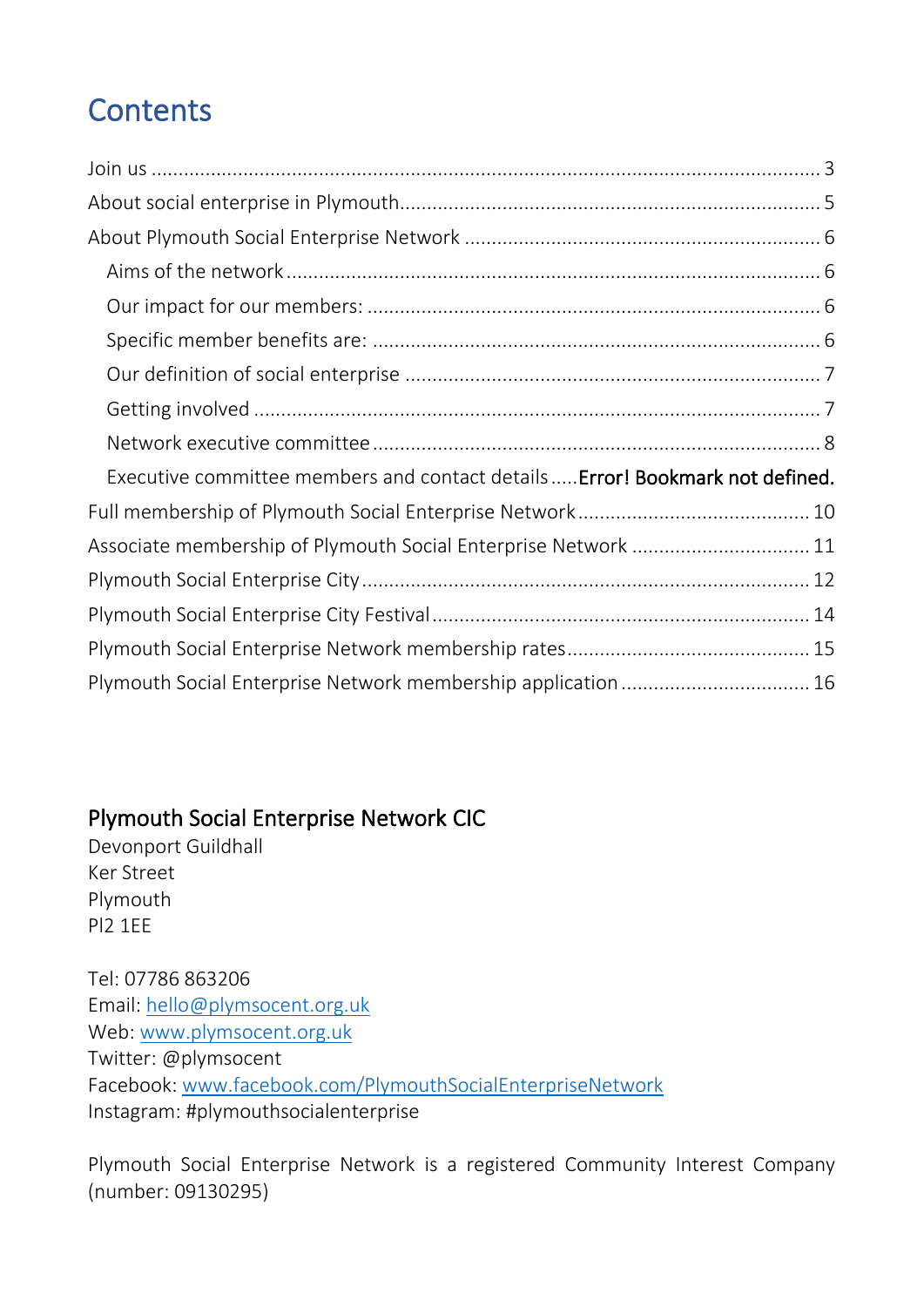## **Contents**

| Executive committee members and contact details  Error! Bookmark not defined. |
|-------------------------------------------------------------------------------|
|                                                                               |
| Associate membership of Plymouth Social Enterprise Network  11                |
|                                                                               |
|                                                                               |
|                                                                               |
| Plymouth Social Enterprise Network membership application  16                 |

### Plymouth Social Enterprise Network CIC

Devonport Guildhall Ker Street Plymouth Pl2 1EE

Tel: 07786 863206 Email: [hello@plymsocent.org.uk](mailto:hello@plymsocent.org.uk) Web: [www.plymsocent.org.uk](http://www.plymsocent.org.uk/) Twitter: @plymsocent Facebook: [www.facebook.com/PlymouthSocialEnterpriseNetwork](http://www.facebook.com/PlymouthSocialEnterpriseNetwork) Instagram: #plymouthsocialenterprise

Plymouth Social Enterprise Network is a registered Community Interest Company (number: 09130295)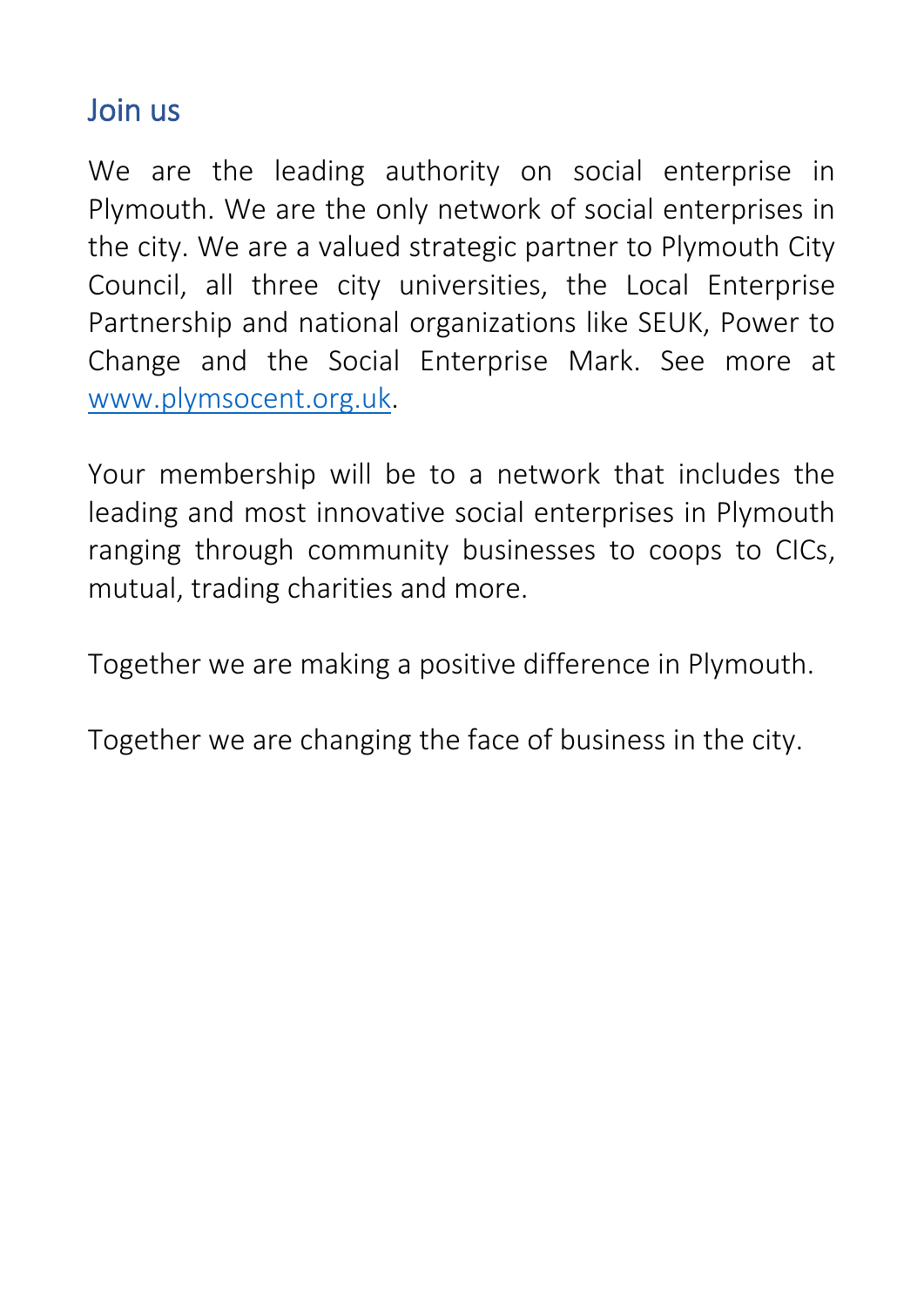## <span id="page-2-0"></span>Join us

We are the leading authority on social enterprise in Plymouth. We are the only network of social enterprises in the city. We are a valued strategic partner to Plymouth City Council, all three city universities, the Local Enterprise Partnership and national organizations like SEUK, Power to Change and the Social Enterprise Mark. See more at [www.plymsocent.org.uk.](http://www.plymsocent.org.uk/)

Your membership will be to a network that includes the leading and most innovative social enterprises in Plymouth ranging through community businesses to coops to CICs, mutual, trading charities and more.

Together we are making a positive difference in Plymouth.

Together we are changing the face of business in the city.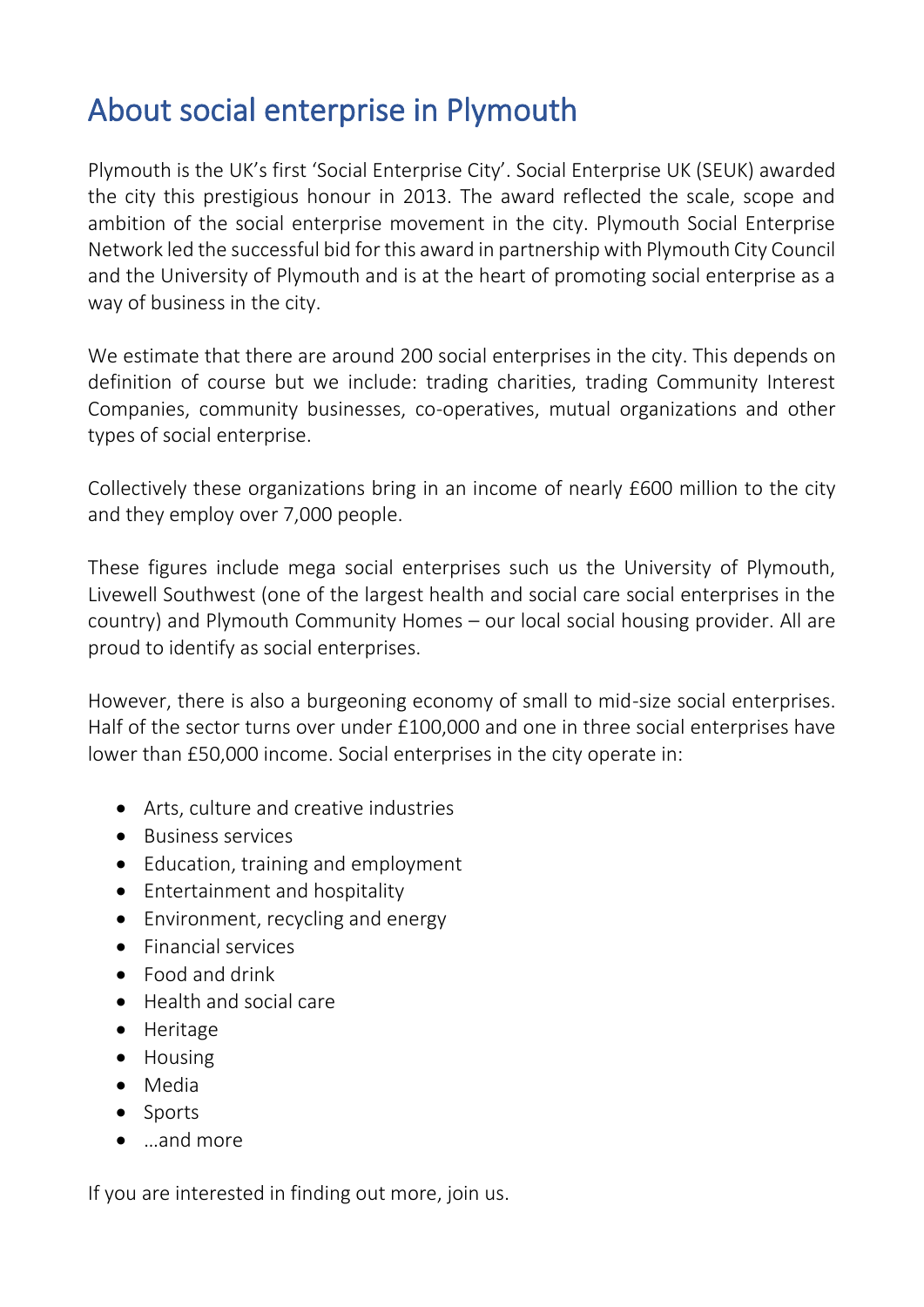## <span id="page-4-0"></span>About social enterprise in Plymouth

Plymouth is the UK's first 'Social Enterprise City'. Social Enterprise UK (SEUK) awarded the city this prestigious honour in 2013. The award reflected the scale, scope and ambition of the social enterprise movement in the city. Plymouth Social Enterprise Network led the successful bid for this award in partnership with Plymouth City Council and the University of Plymouth and is at the heart of promoting social enterprise as a way of business in the city.

We estimate that there are around 200 social enterprises in the city. This depends on definition of course but we include: trading charities, trading Community Interest Companies, community businesses, co-operatives, mutual organizations and other types of social enterprise.

Collectively these organizations bring in an income of nearly £600 million to the city and they employ over 7,000 people.

These figures include mega social enterprises such us the University of Plymouth, Livewell Southwest (one of the largest health and social care social enterprises in the country) and Plymouth Community Homes – our local social housing provider. All are proud to identify as social enterprises.

However, there is also a burgeoning economy of small to mid-size social enterprises. Half of the sector turns over under £100,000 and one in three social enterprises have lower than £50,000 income. Social enterprises in the city operate in:

- Arts, culture and creative industries
- Business services
- Education, training and employment
- Entertainment and hospitality
- Environment, recycling and energy
- Financial services
- Food and drink
- Health and social care
- Heritage
- Housing
- Media
- Sports
- …and more

If you are interested in finding out more, join us.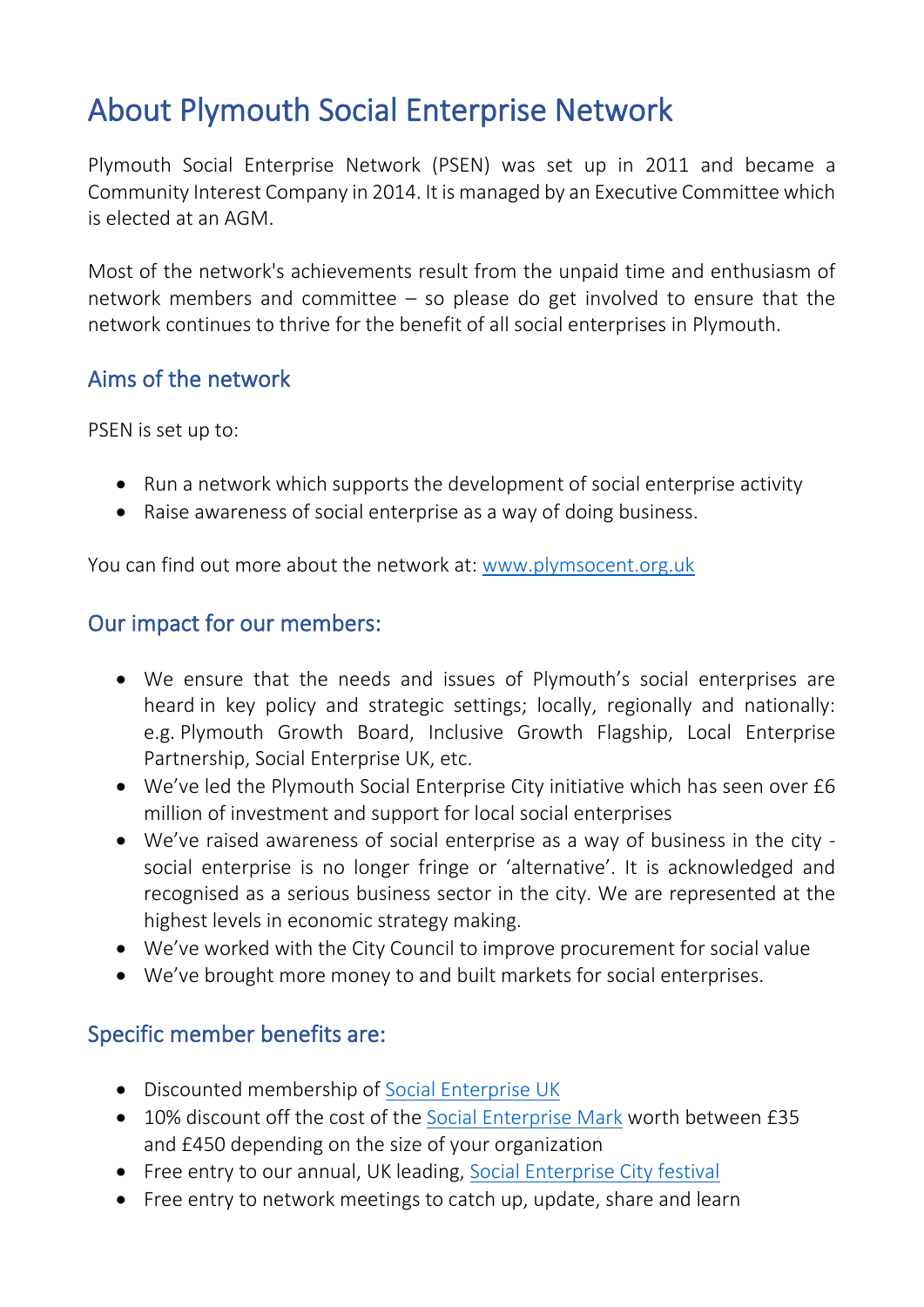## <span id="page-5-0"></span>About Plymouth Social Enterprise Network

Plymouth Social Enterprise Network (PSEN) was set up in 2011 and became a Community Interest Company in 2014. It is managed by an Executive Committee which is elected at an AGM.

Most of the network's achievements result from the unpaid time and enthusiasm of network members and committee – so please do get involved to ensure that the network continues to thrive for the benefit of all social enterprises in Plymouth.

#### <span id="page-5-1"></span>Aims of the network

PSEN is set up to:

- Run a network which supports the development of social enterprise activity
- Raise awareness of social enterprise as a way of doing business.

You can find out more about the network at: [www.plymsocent.org.uk](http://www.plymsocent.org.uk/)

#### <span id="page-5-2"></span>Our impact for our members:

- We ensure that the needs and issues of Plymouth's social enterprises are heard in key policy and strategic settings; locally, regionally and nationally: e.g. Plymouth Growth Board, Inclusive Growth Flagship, Local Enterprise Partnership, Social Enterprise UK, etc.
- We've led the Plymouth Social Enterprise City initiative which has seen over £6 million of investment and support for local social enterprises
- We've raised awareness of social enterprise as a way of business in the city social enterprise is no longer fringe or 'alternative'. It is acknowledged and recognised as a serious business sector in the city. We are represented at the highest levels in economic strategy making.
- We've worked with the City Council to improve procurement for social value
- We've brought more money to and built markets for social enterprises.

### <span id="page-5-3"></span>Specific member benefits are:

- Discounted membership of [Social Enterprise UK](http://www.socialenterprise.org.uk/)
- 10% discount off the cost of the [Social Enterprise Mark](http://www.socialenterprisemark.org.uk/) worth between £35 and £450 depending on the size of your organization
- Free entry to our annual, UK leading, [Social Enterprise City festival](http://www.socentcity.com/)
- Free entry to network meetings to catch up, update, share and learn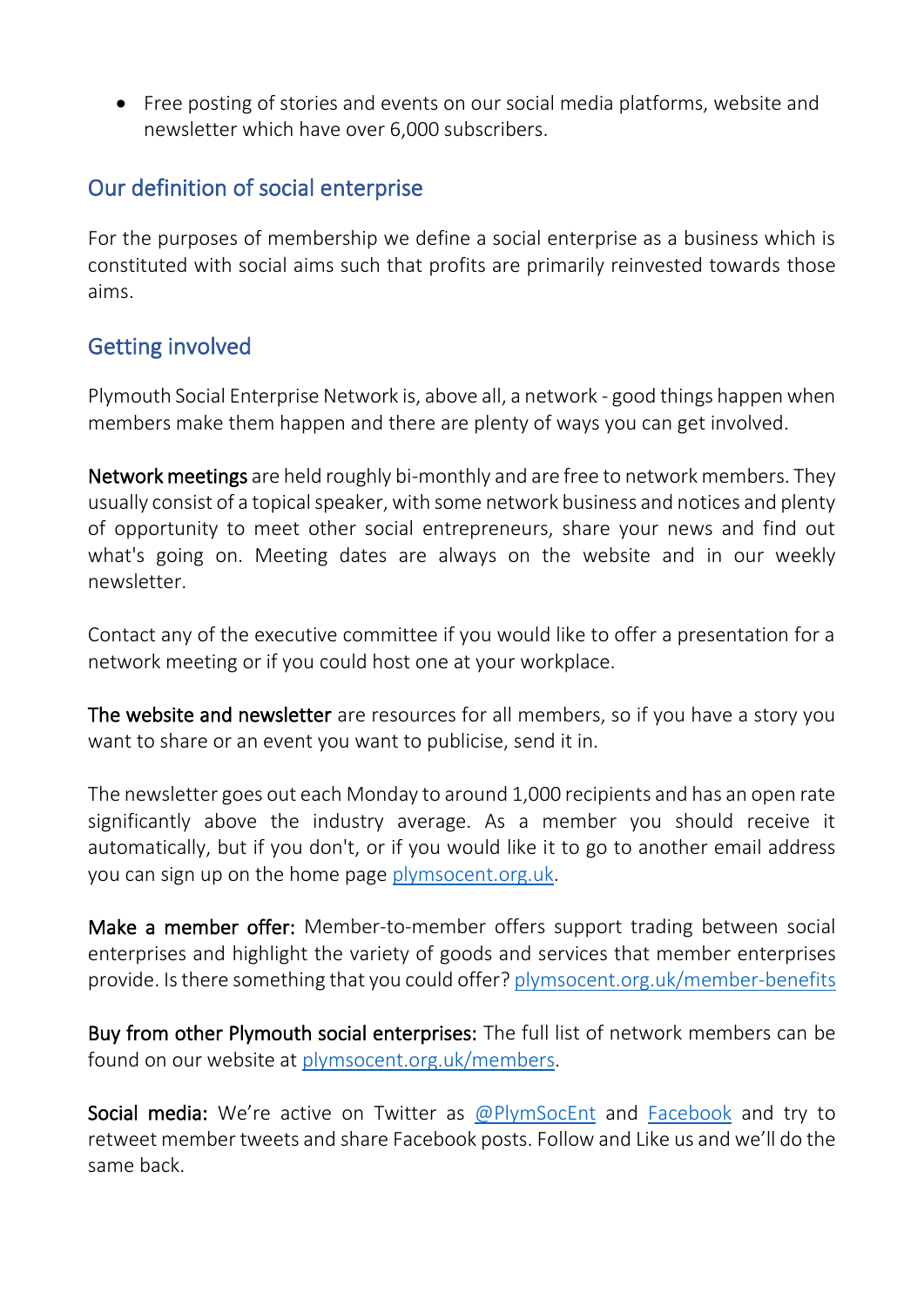• Free posting of stories and events on our social media platforms, website and newsletter which have over 6,000 subscribers.

#### <span id="page-6-0"></span>Our definition of social enterprise

For the purposes of membership we define a social enterprise as a business which is constituted with social aims such that profits are primarily reinvested towards those aims.

### <span id="page-6-1"></span>Getting involved

Plymouth Social Enterprise Network is, above all, a network - good things happen when members make them happen and there are plenty of ways you can get involved.

Network meetings are held roughly bi-monthly and are free to network members. They usually consist of a topical speaker, with some network business and notices and plenty of opportunity to meet other social entrepreneurs, share your news and find out what's going on. Meeting dates are always on the website and in our weekly newsletter.

Contact any of the executive committee if you would like to offer a presentation for a network meeting or if you could host one at your workplace.

The website and newsletter are resources for all members, so if you have a story you want to share or an event you want to publicise, send it in.

The newsletter goes out each Monday to around 1,000 recipients and has an open rate significantly above the industry average. As a member you should receive it automatically, but if you don't, or if you would like it to go to another email address you can sign up on the home page [plymsocent.org.uk.](http://plymsocent.org.uk/)

Make a member offer: Member-to-member offers support trading between social enterprises and highlight the variety of goods and services that member enterprises provide. Is there something that you could offer? [plymsocent.org.uk/member-benefits](http://plymsocent.org.uk/member-benefits/)

Buy from other Plymouth social enterprises: The full list of network members can be found on our website at [plymsocent.org.uk/members.](http://plymsocent.org.uk/members/)

Social media: We're active on Twitter as [@PlymSocEnt](https://twitter.com/PlymSocEnt) and [Facebook](https://www.facebook.com/PlymouthSocialEnterpriseNetwork/) and try to retweet member tweets and share Facebook posts. Follow and Like us and we'll do the same back.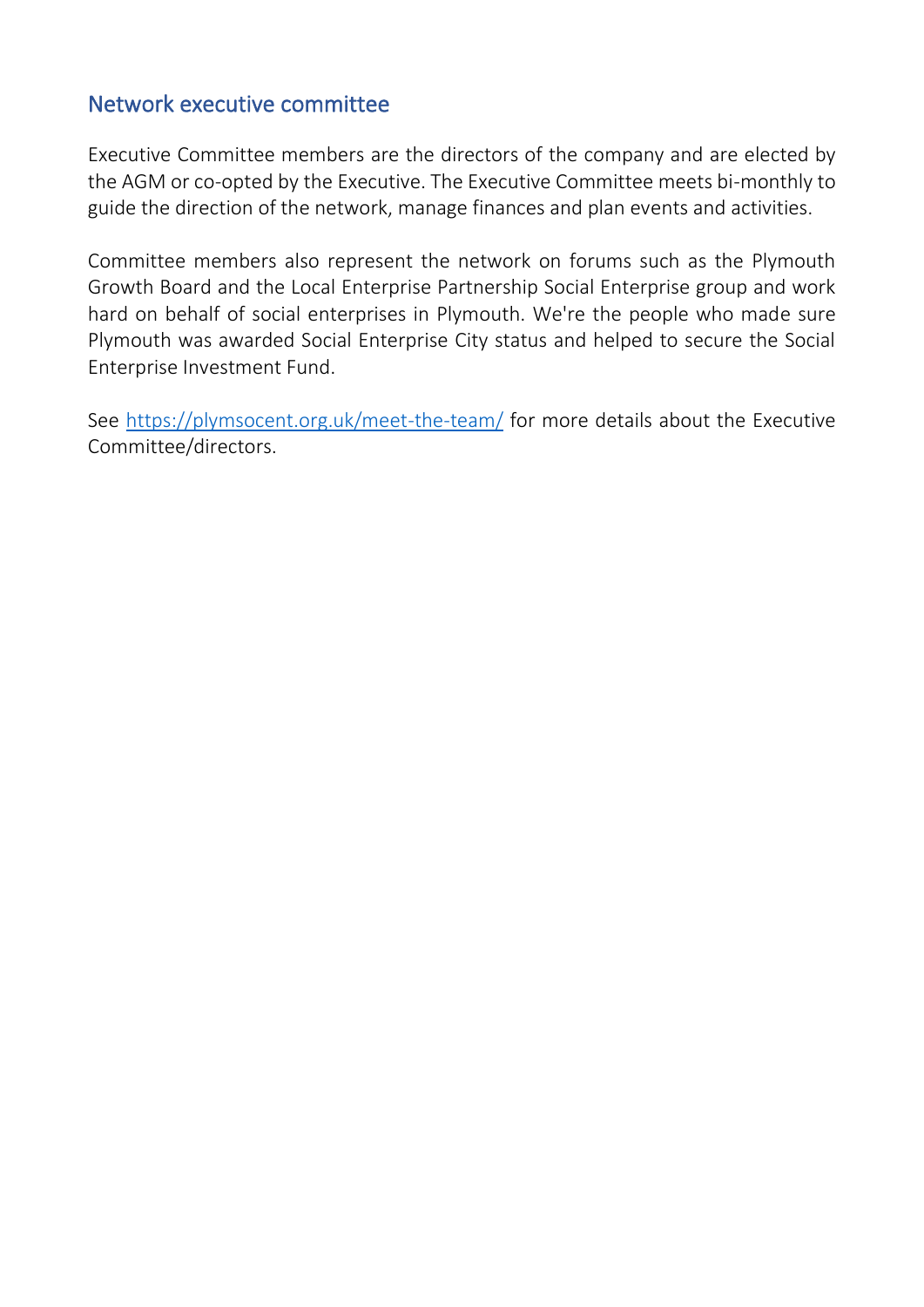#### <span id="page-7-0"></span>Network executive committee

Executive Committee members are the directors of the company and are elected by the AGM or co-opted by the Executive. The Executive Committee meets bi-monthly to guide the direction of the network, manage finances and plan events and activities.

Committee members also represent the network on forums such as the Plymouth Growth Board and the Local Enterprise Partnership Social Enterprise group and work hard on behalf of social enterprises in Plymouth. We're the people who made sure Plymouth was awarded Social Enterprise City status and helped to secure the Social Enterprise Investment Fund.

See<https://plymsocent.org.uk/meet-the-team/> for more details about the Executive Committee/directors.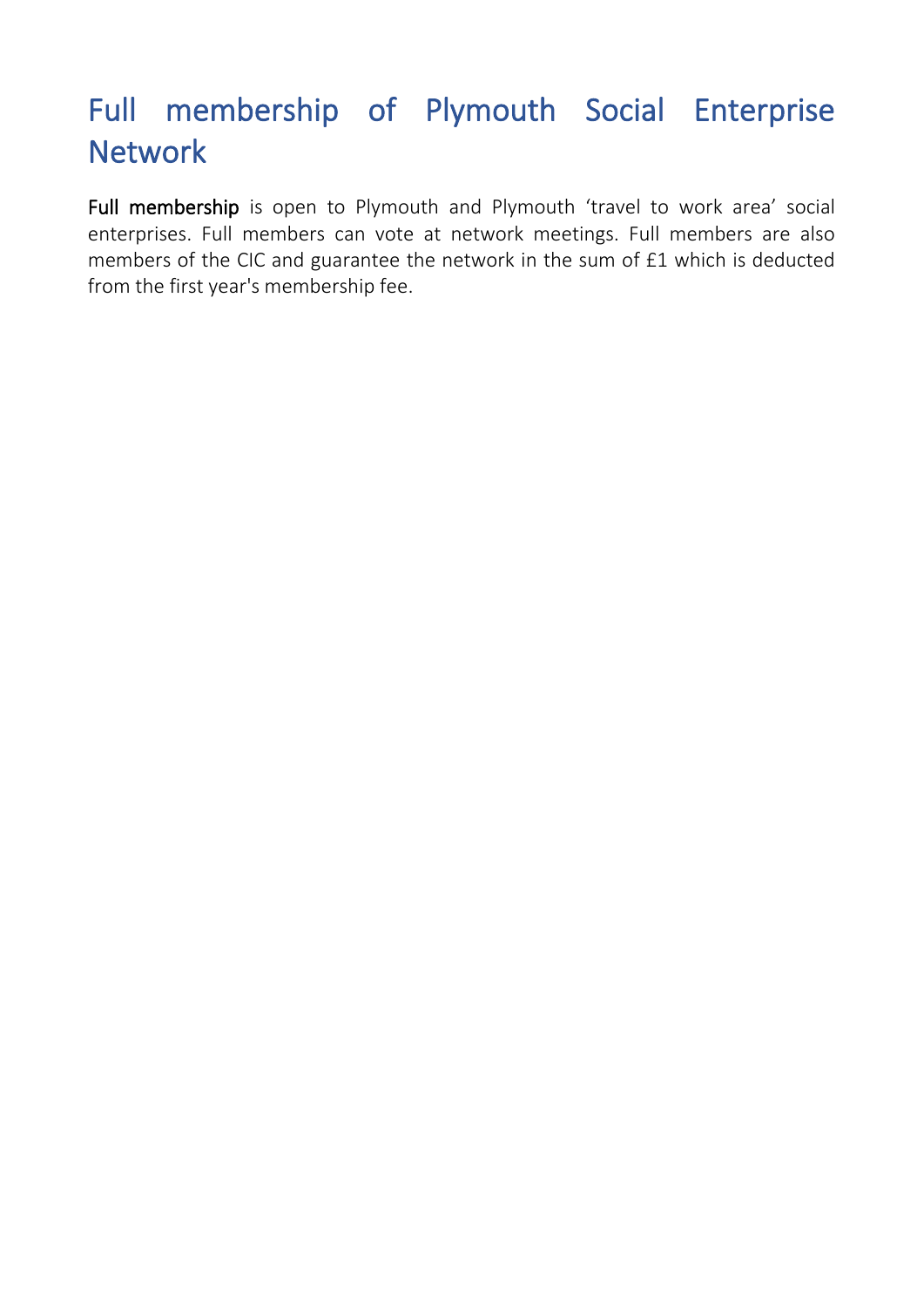## <span id="page-9-0"></span>Full membership of Plymouth Social Enterprise **Network**

Full membership is open to Plymouth and Plymouth 'travel to work area' social enterprises. Full members can vote at network meetings. Full members are also members of the CIC and guarantee the network in the sum of £1 which is deducted from the first year's membership fee.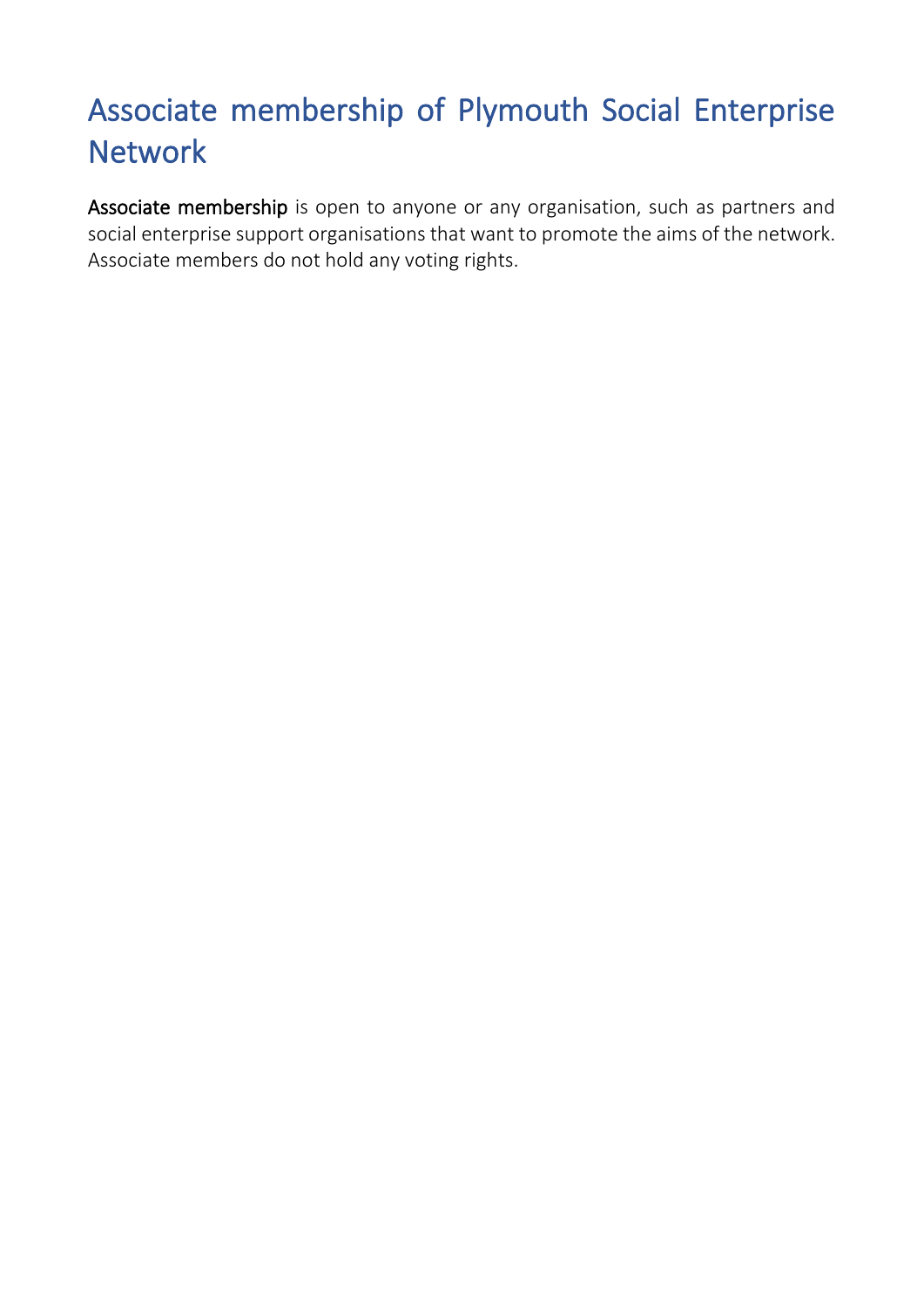## <span id="page-10-0"></span>Associate membership of Plymouth Social Enterprise **Network**

Associate membership is open to anyone or any organisation, such as partners and social enterprise support organisations that want to promote the aims of the network. Associate members do not hold any voting rights.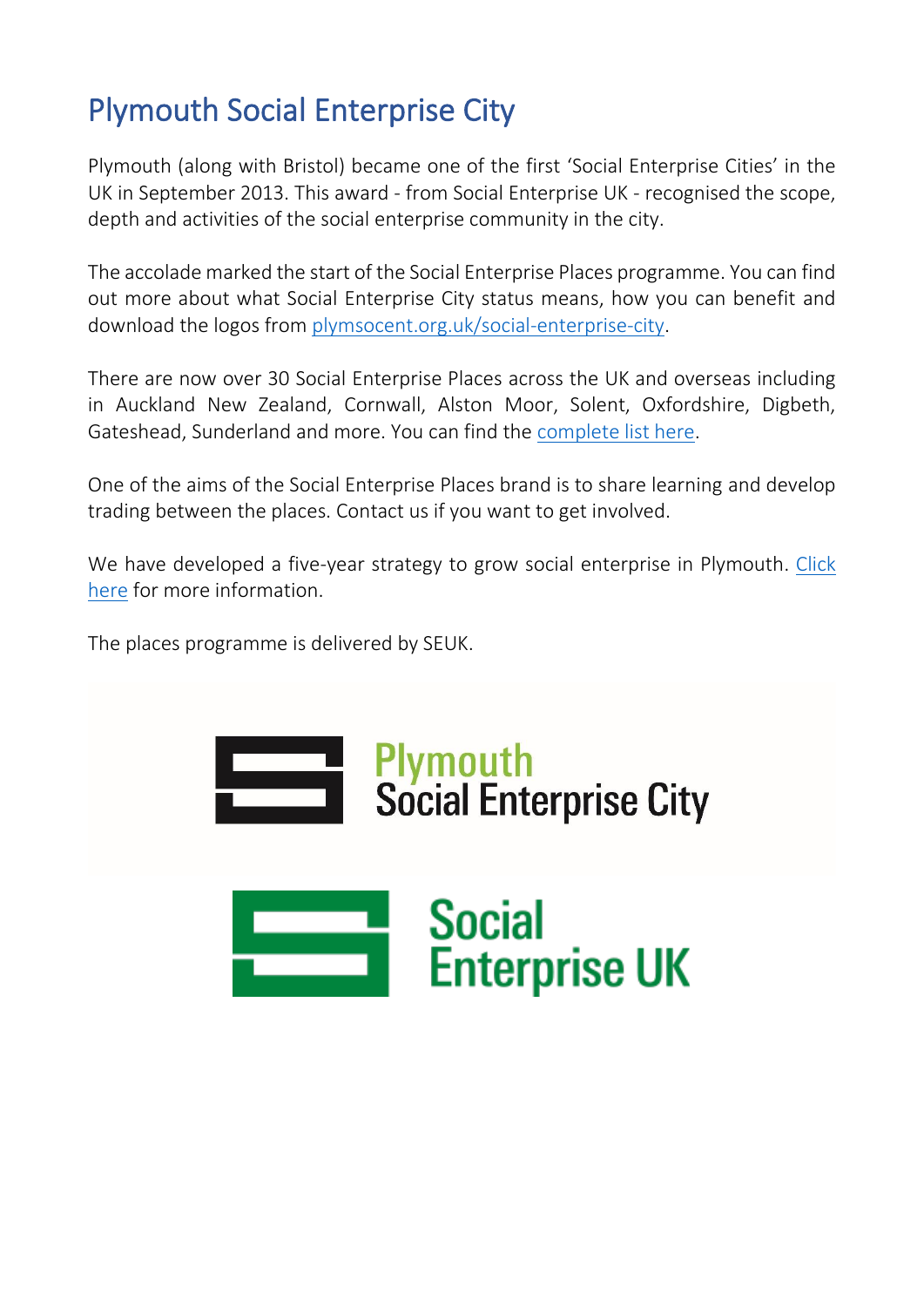## <span id="page-11-0"></span>Plymouth Social Enterprise City

Plymouth (along with Bristol) became one of the first 'Social Enterprise Cities' in the UK in September 2013. This award - from Social Enterprise UK - recognised the scope, depth and activities of the social enterprise community in the city.

The accolade marked the start of the Social Enterprise Places programme. You can find out more about what Social Enterprise City status means, how you can benefit and download the logos from [plymsocent.org.uk/social-enterprise-city.](http://plymsocent.org.uk/social-enterprise-city/)

There are now over 30 Social Enterprise Places across the UK and overseas including in Auckland New Zealand, Cornwall, Alston Moor, Solent, Oxfordshire, Digbeth, Gateshead, Sunderland and more. You can find the [complete list here.](https://www.socialenterprise.org.uk/current-places)

One of the aims of the Social Enterprise Places brand is to share learning and develop trading between the places. Contact us if you want to get involved.

We have developed a five-year strategy to grow social enterprise in Plymouth. [Click](https://plymsocent.org.uk/wp-content/uploads/2020/11/Plymouth-Social-Enterprise-Strategy-2020-to-2025-FINAL.pdf)  [here](https://plymsocent.org.uk/wp-content/uploads/2020/11/Plymouth-Social-Enterprise-Strategy-2020-to-2025-FINAL.pdf) for more information.

The places programme is delivered by SEUK.

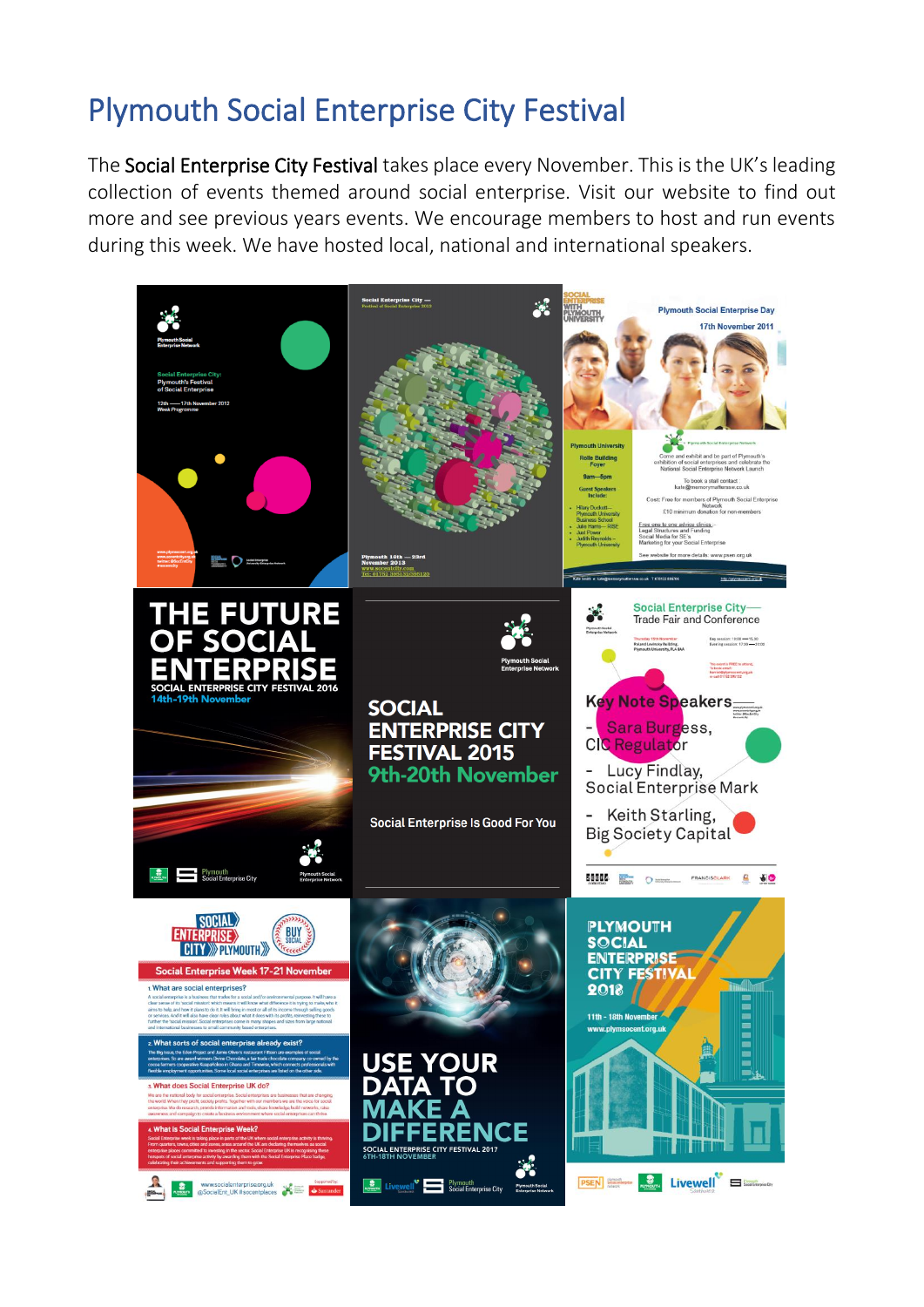## <span id="page-13-0"></span>Plymouth Social Enterprise City Festival

The Social Enterprise City Festival takes place every November. This is the UK's leading collection of events themed around social enterprise. Visit our website to find out more and see previous years events. We encourage members to host and run events during this week. We have hosted local, national and international speakers.

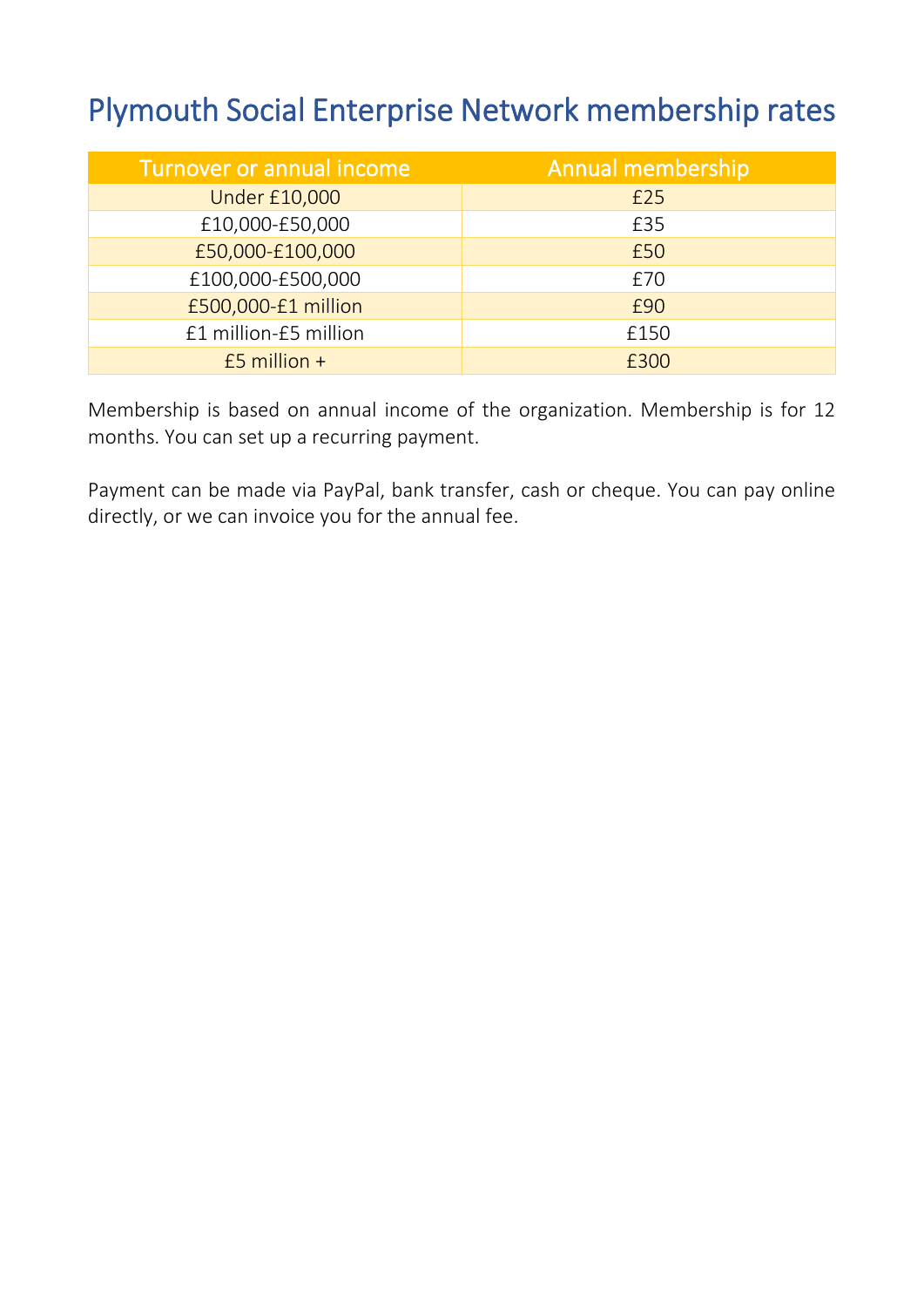## <span id="page-14-0"></span>Plymouth Social Enterprise Network membership rates

| Turnover or annual income | Annual membership |
|---------------------------|-------------------|
| <b>Under £10,000</b>      | £25               |
| £10,000-£50,000           | £35               |
| £50,000-£100,000          | £50               |
| £100,000-£500,000         | £70               |
| £500,000-£1 million       | £90               |
| £1 million-£5 million     | £150              |
| $£5$ million +            | £300              |

Membership is based on annual income of the organization. Membership is for 12 months. You can set up a recurring payment.

Payment can be made via PayPal, bank transfer, cash or cheque. You can pay online directly, or we can invoice you for the annual fee.